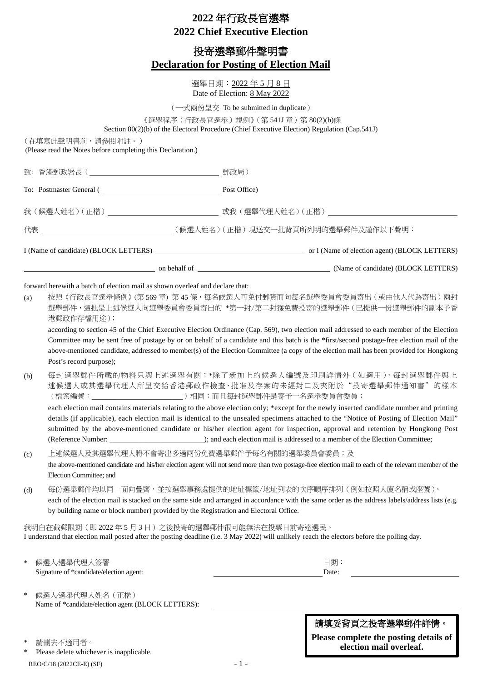# **2022** 年行政長官選舉 **2022 Chief Executive Election**

## 投寄選舉郵件聲明書 **Declaration for Posting of Election Mail**

選舉日期:2022 年 5 月 8 日 Date of Election: 8 May 2022

(一式兩份呈交 To be submitted in duplicate)

《選舉程序(行政長官選舉)規例》(第 541J 章)第 80(2)(b)條

Section 80(2)(b) of the Electoral Procedure (Chief Executive Election) Regulation (Cap.541J)

(在填寫此聲明書前,請參閱附註。)

(Please read the Notes before completing this Declaration.)

| 致:  |                                                                                                                                                                                                                                                                                                                                                                                                                                                                                                                                                                                                   |                                                                                                                                                                                                                                                                                                                                                                                                                                                                                                                                                                 |  |  |  |  |
|-----|---------------------------------------------------------------------------------------------------------------------------------------------------------------------------------------------------------------------------------------------------------------------------------------------------------------------------------------------------------------------------------------------------------------------------------------------------------------------------------------------------------------------------------------------------------------------------------------------------|-----------------------------------------------------------------------------------------------------------------------------------------------------------------------------------------------------------------------------------------------------------------------------------------------------------------------------------------------------------------------------------------------------------------------------------------------------------------------------------------------------------------------------------------------------------------|--|--|--|--|
|     |                                                                                                                                                                                                                                                                                                                                                                                                                                                                                                                                                                                                   |                                                                                                                                                                                                                                                                                                                                                                                                                                                                                                                                                                 |  |  |  |  |
|     |                                                                                                                                                                                                                                                                                                                                                                                                                                                                                                                                                                                                   |                                                                                                                                                                                                                                                                                                                                                                                                                                                                                                                                                                 |  |  |  |  |
|     |                                                                                                                                                                                                                                                                                                                                                                                                                                                                                                                                                                                                   |                                                                                                                                                                                                                                                                                                                                                                                                                                                                                                                                                                 |  |  |  |  |
|     |                                                                                                                                                                                                                                                                                                                                                                                                                                                                                                                                                                                                   | I (Name of candidate) (BLOCK LETTERS)  or I (Name of election agent) (BLOCK LETTERS)                                                                                                                                                                                                                                                                                                                                                                                                                                                                            |  |  |  |  |
|     |                                                                                                                                                                                                                                                                                                                                                                                                                                                                                                                                                                                                   |                                                                                                                                                                                                                                                                                                                                                                                                                                                                                                                                                                 |  |  |  |  |
| (a) | forward here with a batch of election mail as shown overleaf and declare that:<br>港郵政作存檔用途);<br>Post's record purpose);                                                                                                                                                                                                                                                                                                                                                                                                                                                                           | 按照《行政長官選舉條例》(第569章) 第45條,每名候選人可免付郵資而向每名選舉委員會委員寄出(或由他人代為寄出)兩封<br>選舉郵件,這批是上述候選人向選舉委員會委員寄出的 *第一封/第二封獲免費投寄的選舉郵件(已提供一份選舉郵件的副本予香<br>according to section 45 of the Chief Executive Election Ordinance (Cap. 569), two election mail addressed to each member of the Election<br>Committee may be sent free of postage by or on behalf of a candidate and this batch is the *first/second postage-free election mail of the<br>above-mentioned candidate, addressed to member(s) of the Election Committee (a copy of the election mail has been provided for Hongkong |  |  |  |  |
| (b) | 每封選舉郵件所載的物料只與上述選舉有關; *除了新加上的候選人編號及印刷詳情外 (如適用), 每封選舉郵件與上<br>述候選人或其選舉代理人所呈交給香港郵政作檢查、批准及存案的未經封口及夾附於"投寄選舉郵件通知書"的樣本<br>(檔案編號:__________________________)相同;而且每封選舉郵件是寄予一名選舉委員會委員;<br>each election mail contains materials relating to the above election only; *except for the newly inserted candidate number and printing<br>details (if applicable), each election mail is identical to the unsealed specimens attached to the "Notice of Posting of Election Mail"<br>submitted by the above-mentioned candidate or his/her election agent for inspection, approval and retention by Hongkong Post |                                                                                                                                                                                                                                                                                                                                                                                                                                                                                                                                                                 |  |  |  |  |
| (c) | 上述候選人及其選舉代理人將不會寄出多過兩份免費選舉郵件予每名有關的選舉委員會委員;及<br>the above-mentioned candidate and his/her election agent will not send more than two postage-free election mail to each of the relevant member of the<br>Election Committee; and                                                                                                                                                                                                                                                                                                                                                                    |                                                                                                                                                                                                                                                                                                                                                                                                                                                                                                                                                                 |  |  |  |  |
| (d) | 每份選舉郵件均以同一面向疊齊,並按選舉事務處提供的地址標籤/地址列表的次序順序排列(例如按照大廈名稱或座號)。<br>each of the election mail is stacked on the same side and arranged in accordance with the same order as the address labels/address lists (e.g.<br>by building name or block number) provided by the Registration and Electoral Office.                                                                                                                                                                                                                                                                                                 |                                                                                                                                                                                                                                                                                                                                                                                                                                                                                                                                                                 |  |  |  |  |
|     | 我明白在截郵限期(即2022年5月3日)之後投寄的選舉郵件很可能無法在投票日前寄達選民。                                                                                                                                                                                                                                                                                                                                                                                                                                                                                                                                                      | I understand that election mail posted after the posting deadline (i.e. 3 May 2022) will unlikely reach the electors before the polling day.                                                                                                                                                                                                                                                                                                                                                                                                                    |  |  |  |  |
| ∗   | 候選人選舉代理人簽署<br>Signature of *candidate/election agent:                                                                                                                                                                                                                                                                                                                                                                                                                                                                                                                                             | 日期:<br>Date:                                                                                                                                                                                                                                                                                                                                                                                                                                                                                                                                                    |  |  |  |  |
| ∗   | 候選人選舉代理人姓名 (正楷)<br>Name of *candidate/election agent (BLOCK LETTERS):                                                                                                                                                                                                                                                                                                                                                                                                                                                                                                                             |                                                                                                                                                                                                                                                                                                                                                                                                                                                                                                                                                                 |  |  |  |  |
|     |                                                                                                                                                                                                                                                                                                                                                                                                                                                                                                                                                                                                   | 請填妥背頁之投寄選舉郵件詳情。                                                                                                                                                                                                                                                                                                                                                                                                                                                                                                                                                 |  |  |  |  |

**Please complete the posting details of election mail overleaf.**

\* 請刪去不適用者。 \* Please delete whichever is inapplicable.

REO/C/18 (2022CE-E) (SF) - 1 -